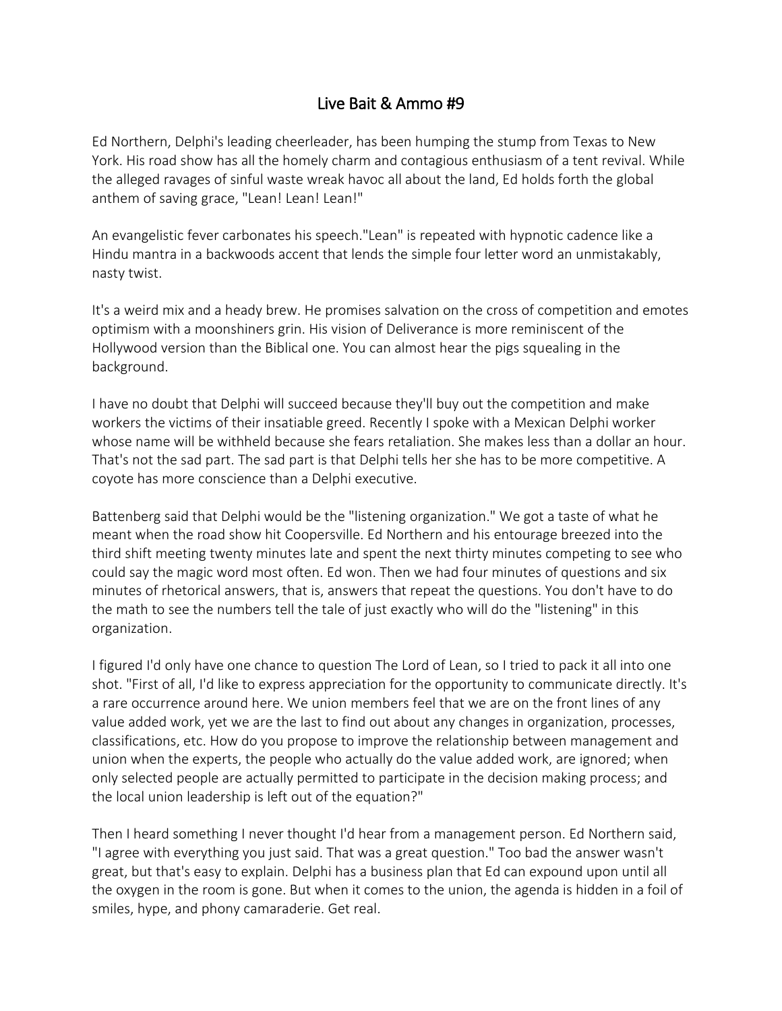## Live Bait & Ammo #9

Ed Northern, Delphi's leading cheerleader, has been humping the stump from Texas to New York. His road show has all the homely charm and contagious enthusiasm of a tent revival. While the alleged ravages of sinful waste wreak havoc all about the land, Ed holds forth the global anthem of saving grace, "Lean! Lean! Lean!"

An evangelistic fever carbonates his speech."Lean" is repeated with hypnotic cadence like a Hindu mantra in a backwoods accent that lends the simple four letter word an unmistakably, nasty twist.

It's a weird mix and a heady brew. He promises salvation on the cross of competition and emotes optimism with a moonshiners grin. His vision of Deliverance is more reminiscent of the Hollywood version than the Biblical one. You can almost hear the pigs squealing in the background.

I have no doubt that Delphi will succeed because they'll buy out the competition and make workers the victims of their insatiable greed. Recently I spoke with a Mexican Delphi worker whose name will be withheld because she fears retaliation. She makes less than a dollar an hour. That's not the sad part. The sad part is that Delphi tells her she has to be more competitive. A coyote has more conscience than a Delphi executive.

Battenberg said that Delphi would be the "listening organization." We got a taste of what he meant when the road show hit Coopersville. Ed Northern and his entourage breezed into the third shift meeting twenty minutes late and spent the next thirty minutes competing to see who could say the magic word most often. Ed won. Then we had four minutes of questions and six minutes of rhetorical answers, that is, answers that repeat the questions. You don't have to do the math to see the numbers tell the tale of just exactly who will do the "listening" in this organization.

I figured I'd only have one chance to question The Lord of Lean, so I tried to pack it all into one shot. "First of all, I'd like to express appreciation for the opportunity to communicate directly. It's a rare occurrence around here. We union members feel that we are on the front lines of any value added work, yet we are the last to find out about any changes in organization, processes, classifications, etc. How do you propose to improve the relationship between management and union when the experts, the people who actually do the value added work, are ignored; when only selected people are actually permitted to participate in the decision making process; and the local union leadership is left out of the equation?"

Then I heard something I never thought I'd hear from a management person. Ed Northern said, "I agree with everything you just said. That was a great question." Too bad the answer wasn't great, but that's easy to explain. Delphi has a business plan that Ed can expound upon until all the oxygen in the room is gone. But when it comes to the union, the agenda is hidden in a foil of smiles, hype, and phony camaraderie. Get real.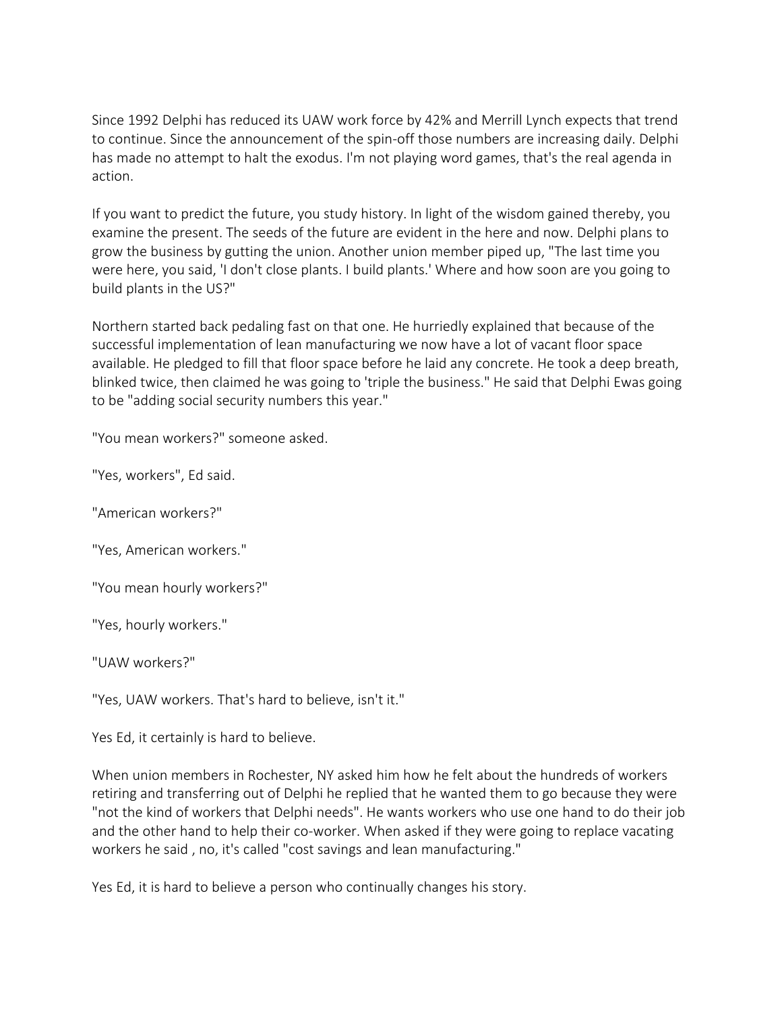Since 1992 Delphi has reduced its UAW work force by 42% and Merrill Lynch expects that trend to continue. Since the announcement of the spin-off those numbers are increasing daily. Delphi has made no attempt to halt the exodus. I'm not playing word games, that's the real agenda in action.

If you want to predict the future, you study history. In light of the wisdom gained thereby, you examine the present. The seeds of the future are evident in the here and now. Delphi plans to grow the business by gutting the union. Another union member piped up, "The last time you were here, you said, 'I don't close plants. I build plants.' Where and how soon are you going to build plants in the US?"

Northern started back pedaling fast on that one. He hurriedly explained that because of the successful implementation of lean manufacturing we now have a lot of vacant floor space available. He pledged to fill that floor space before he laid any concrete. He took a deep breath, blinked twice, then claimed he was going to 'triple the business." He said that Delphi Ewas going to be "adding social security numbers this year."

"You mean workers?" someone asked.

"Yes, workers", Ed said.

"American workers?"

"Yes, American workers."

"You mean hourly workers?"

"Yes, hourly workers."

"UAW workers?"

"Yes, UAW workers. That's hard to believe, isn't it."

Yes Ed, it certainly is hard to believe.

When union members in Rochester, NY asked him how he felt about the hundreds of workers retiring and transferring out of Delphi he replied that he wanted them to go because they were "not the kind of workers that Delphi needs". He wants workers who use one hand to do their job and the other hand to help their co-worker. When asked if they were going to replace vacating workers he said , no, it's called "cost savings and lean manufacturing."

Yes Ed, it is hard to believe a person who continually changes his story.